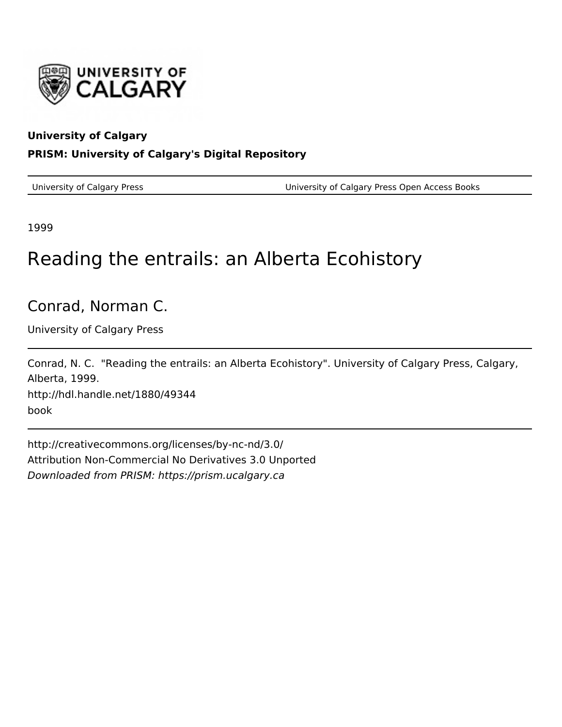

#### **University of Calgary**

#### **PRISM: University of Calgary's Digital Repository**

University of Calgary Press University of Calgary Press Open Access Books

1999

# Reading the entrails: an Alberta Ecohistory

## Conrad, Norman C.

University of Calgary Press

Conrad, N. C. "Reading the entrails: an Alberta Ecohistory". University of Calgary Press, Calgary, Alberta, 1999. http://hdl.handle.net/1880/49344

book

http://creativecommons.org/licenses/by-nc-nd/3.0/ Attribution Non-Commercial No Derivatives 3.0 Unported Downloaded from PRISM: https://prism.ucalgary.ca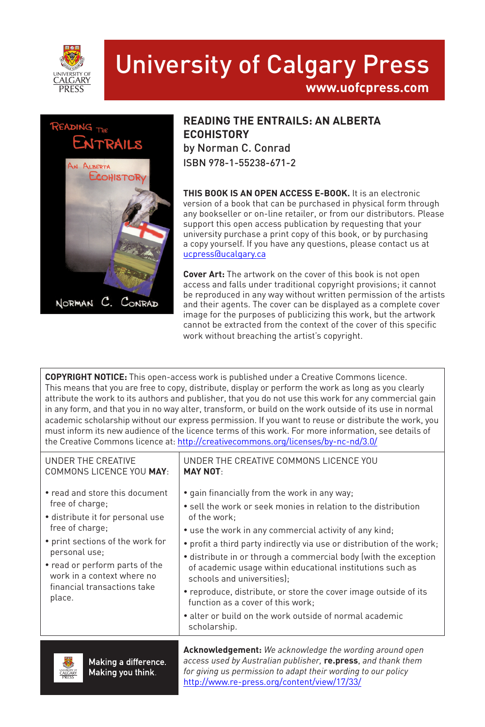

## University of Calgary Press **www.uofcpress.com**



#### **READING THE ENTRAILS: AN ALBERTA ECOHISTORY** by Norman C. Conrad ISBN 978-1-55238-671-2

**THIS BOOK IS AN OPEN ACCESS E-BOOK.** It is an electronic version of a book that can be purchased in physical form through any bookseller or on-line retailer, or from our distributors. Please support this open access publication by requesting that your university purchase a print copy of this book, or by purchasing a copy yourself. If you have any questions, please contact us at ucpress@ucalgary.ca

**Cover Art:** The artwork on the cover of this book is not open access and falls under traditional copyright provisions; it cannot be reproduced in any way without written permission of the artists and their agents. The cover can be displayed as a complete cover image for the purposes of publicizing this work, but the artwork cannot be extracted from the context of the cover of this specific work without breaching the artist's copyright.

**COPYRIGHT NOTICE:** This open-access work is published under a Creative Commons licence. This means that you are free to copy, distribute, display or perform the work as long as you clearly attribute the work to its authors and publisher, that you do not use this work for any commercial gain in any form, and that you in no way alter, transform, or build on the work outside of its use in normal academic scholarship without our express permission. If you want to reuse or distribute the work, you must inform its new audience of the licence terms of this work. For more information, see details of the Creative Commons licence at: http://creativecommons.org/licenses/by-nc-nd/3.0/

| UNDER THE CREATIVE<br>COMMONS LICENCE YOU MAY:                                                                                                                                                                                                                         | UNDER THE CREATIVE COMMONS LICENCE YOU<br><b>MAY NOT-</b>                                                                                                                                                                                                                                                                                                                                                                                                                                                                                                                                                             |
|------------------------------------------------------------------------------------------------------------------------------------------------------------------------------------------------------------------------------------------------------------------------|-----------------------------------------------------------------------------------------------------------------------------------------------------------------------------------------------------------------------------------------------------------------------------------------------------------------------------------------------------------------------------------------------------------------------------------------------------------------------------------------------------------------------------------------------------------------------------------------------------------------------|
| • read and store this document<br>free of charge;<br>· distribute it for personal use<br>free of charge;<br>• print sections of the work for<br>personal use:<br>• read or perform parts of the<br>work in a context where no<br>financial transactions take<br>place. | • gain financially from the work in any way;<br>• sell the work or seek monies in relation to the distribution<br>of the work;<br>• use the work in any commercial activity of any kind;<br>• profit a third party indirectly via use or distribution of the work;<br>• distribute in or through a commercial body (with the exception<br>of academic usage within educational institutions such as<br>schools and universities);<br>• reproduce, distribute, or store the cover image outside of its<br>function as a cover of this work;<br>• alter or build on the work outside of normal academic<br>scholarship. |
|                                                                                                                                                                                                                                                                        | <b>Acknowledgement:</b> We acknowledge the wording around open                                                                                                                                                                                                                                                                                                                                                                                                                                                                                                                                                        |



Making a difference. Making you think.

*access used by Australian publisher,* **re.press**, *and thank them for giving us permission to adapt their wording to our policy* http://www.re-press.org/content/view/17/33/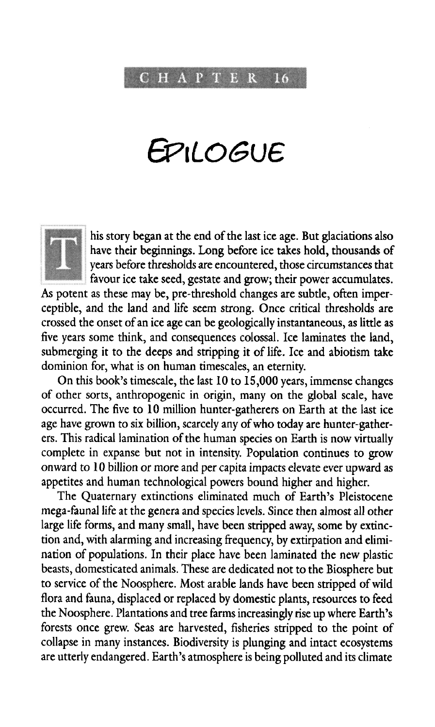C H A P T E R 16

# *G?\LOGve*



his story began at the end of the last ice age. But glaciations also have their beginnings. Long before ice takes hold, thousands of years before thresholds are encountered, those circumstances that favour ice take seed, gestate and grow; their power accumulates.

As potent as these may be, pre-threshold changes are subtle, often imperceptible, and the land and life seem strong. Once critical thresholds are crossed the onset of an ice age can be geologically instantaneous, as little as five years some think, and consequences colossal. Ice laminates the land, submerging it to the deeps and stripping it of life. Ice and abiotism take dominion for, what is on human timescales, an eternity.

On this book's timescale, the last 10 to 15,000 years, immense changes of other sorts, anthropogenic in origin, many on the global scale, have occurred. The five to 10 million hunter-gatherers on Earth at the last ice age have grown to six billion, scarcely any of who today are hunter-gatherers. This radical lamination of the human species on Earth is now virtually complete in expanse but not in intensity. Population continues to grow onward to 10 billion or more and per capita impacts elevate ever upward as appetites and human technological powers bound higher and higher.

The Quaternary extinctions eliminated much of Earth's Pleistocene mega-faunal life at the genera and species levels. Since then almost all other large life forms, and many small, have been stripped away, some by extinction and, with alarming and increasing frequency, by extirpation and elimination of populations. In their place have been laminated the new plastic beasts, domesticated animals. These are dedicated not to the Biosphere but to service of the Noosphere. Most arable lands have been stripped of wild flora and fauna, displaced or replaced by domestic plants, resources to feed the Noosphere. Plantations and tree farms increasingly rise up where Earth's forests once grew. Seas are harvested, fisheries stripped to the point of collapse in many instances. Biodiversity is plunging and intact ecosystems are utterly endangered. Earth's atmosphere is being polluted and its climate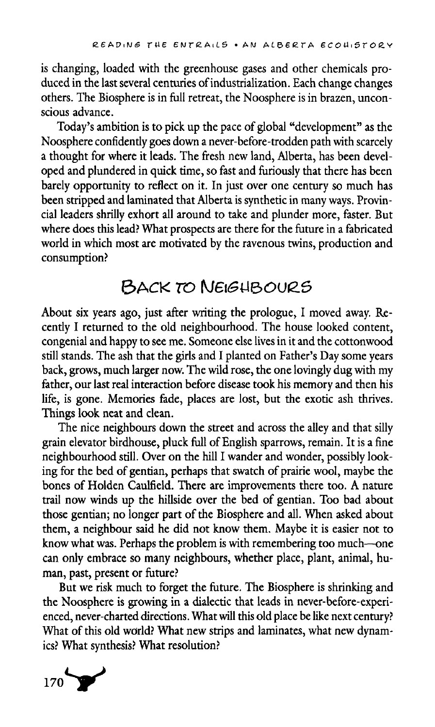*is* changing, loaded with the greenhouse gases and other chemicals produced in the last several centuries of industrialization. Each change changes others. The Biosphere is in full retreat, the Noosphere is in brazen, unconscious advance.

Today's ambition is to pick up the pace of global "development" as the Noosphere confidently goes down a never-before-trodden path with scarcely a thought for where it leads. The fresh new land, Alberta, has been developed and plundered in quick time, so fast and furiously that there has been barely opportunity to reflect on it. In just over one century so much has been stripped and laminated that Alberta is synthetic in many ways. Provincial leaders shrilly exhort all around to take and plunder more, faster. But where does this lead? What prospects are there for the future in a fabricated world in which most are motivated by the ravenous twins, production and consumption?

### 6ACK *TO* Na£44&OueS

About six years ago, just after writing the prologue, I moved away. Recently I returned to the old neighbourhood. The house looked content, congenial and happy to see me. Someone else lives in it and the cottonwood still stands. The ash that the girls and I planted on Father's Day some years back, grows, much larger now. The wild rose, the one lovingly dug with my father, our last real interaction before disease took his memory and then his life, is gone. Memories fade, places are lost, but the exotic ash thrives. Things look neat and clean.

The nice neighbours down the street and across the alley and that silly grain elevator birdhouse, pluck full of English sparrows, remain. It is a fine neighbourhood still. Over on the hill I wander and wonder, possibly looking for the bed of gentian, perhaps that swatch of prairie wool, maybe the bones of Holden Caulfield. There are improvements there too. A nature trail now winds up the hillside over the bed of gentian. Too bad about those gentian; no longer part of the Biosphere and all. When asked about them, a neighbour said he did not know them. Maybe it is easier not to know what was. Perhaps the problem is with remembering too much—one can only embrace so many neighbours, whether place, plant, animal, human, past, present or future?

But we risk much to forget the future. The Biosphere is shrinking and the Noosphere is growing in a dialectic that leads in never-before-experienced, never-charted directions. What will this old place be like next century? What of this old world? What new strips and laminates, what new dynamics? What synthesis? What resolution?

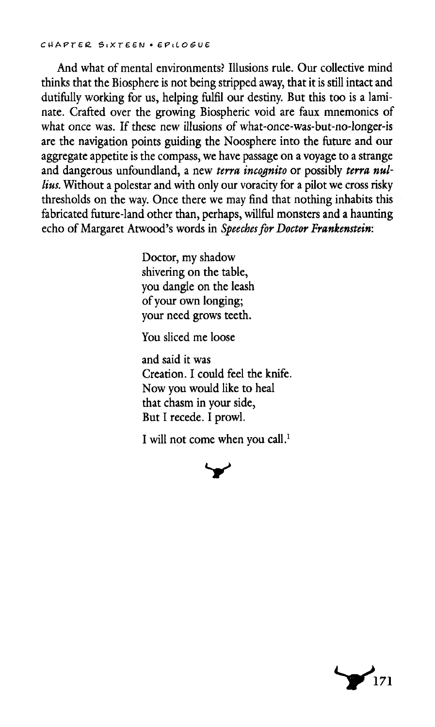And what of mental environments? Illusions rule. Our collective mind thinks that the Biosphere is not being stripped away, that it is still intact and dutifully working for us, helping fulfil our destiny. But this too is a laminate. Crafted over the growing Biospheric void are faux mnemonics of what once was. If these new illusions of what-once-was-but-no-longer-is are the navigation points guiding the Noosphere into the future and our aggregate appetite is the compass, we have passage on a voyage to a strange and dangerous unfoundland, a new *terra incognito* or possibly *terra nullius.* Without a polestar and with only our voracity for a pilot we cross risky thresholds on the way. Once there we may find that nothing inhabits this fabricated future-land other than, perhaps, willful monsters and a haunting echo of Margaret Atwood's words in *Speeches for Doctor Frankenstein:*

> Doctor, my shadow shivering on the table, you dangle on the leash of your own longing; your need grows teeth.

You sliced me loose

and said it was Creation. I could feel the knife. Now you would like to heal that chasm in your side, But I recede. I prowl.

I will not come when you call.<sup>1</sup>